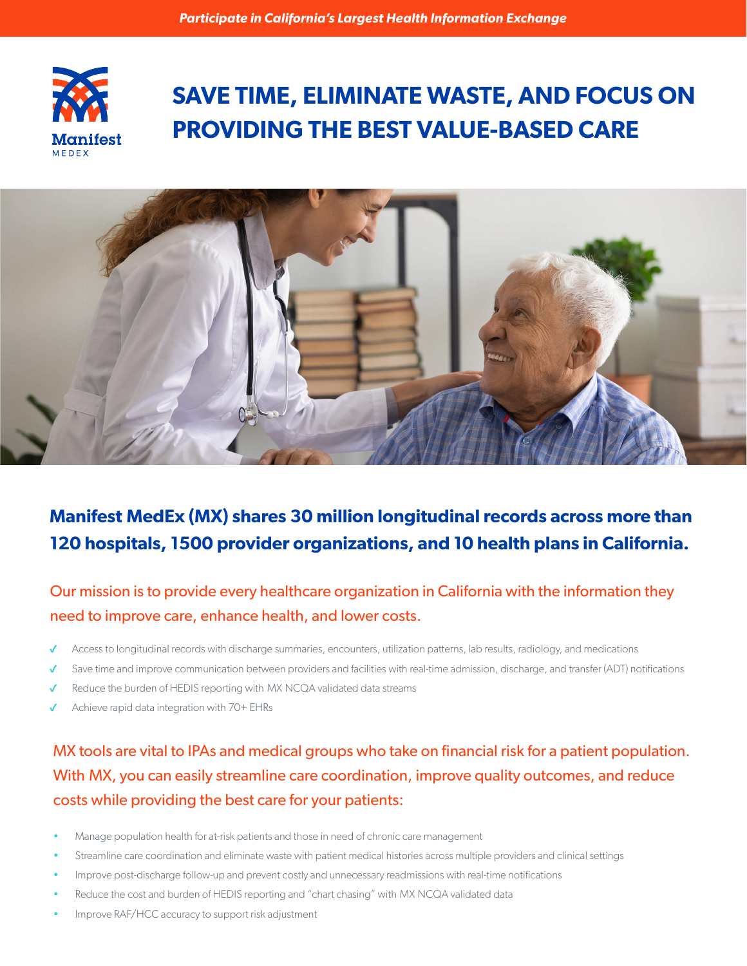

# **SAVE TIME, ELIMINATE WASTE, AND FOCUS ON PROVIDING THE BEST VALUE-BASED CARE**



# **Manifest MedEx (MX) shares 30 million longitudinal records across more than 120 hospitals, 1500 provider organizations, and 10 health plans in California.**

#### Our mission is to provide every healthcare organization in California with the information they need to improve care, enhance health, and lower costs.

- ✓ Access to longitudinal records with discharge summaries, encounters, utilization patterns, lab results, radiology, and medications
- ✓ Save time and improve communication between providers and facilities with real-time admission, discharge, and transfer (ADT) notifications
- ✓ Reduce the burden of HEDIS reporting with MX NCQA validated data streams
- Achieve rapid data integration with 70+ EHRs

### MX tools are vital to IPAs and medical groups who take on financial risk for a patient population. With MX, you can easily streamline care coordination, improve quality outcomes, and reduce costs while providing the best care for your patients:

- Manage population health for at-risk patients and those in need of chronic care management
- Streamline care coordination and eliminate waste with patient medical histories across multiple providers and clinical settings
- Improve post-discharge follow-up and prevent costly and unnecessary readmissions with real-time notifications
- Reduce the cost and burden of HEDIS reporting and "chart chasing" with MX NCQA validated data
- Improve RAF/HCC accuracy to support risk adjustment